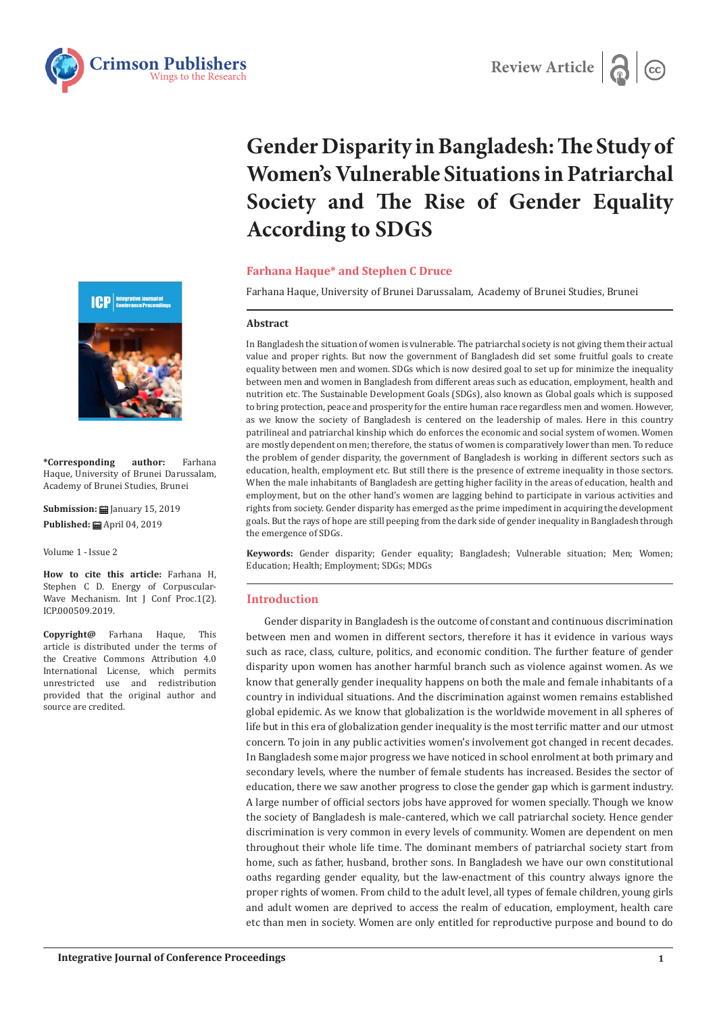



# **Gender Disparity in Bangladesh: The Study of Women's Vulnerable Situations in Patriarchal Society and The Rise of Gender Equality According to SDGS**

# **Farhana Haque\* and Stephen C Druce**

Farhana Haque, University of Brunei Darussalam, Academy of Brunei Studies, Brunei

## **Abstract**

In Bangladesh the situation of women is vulnerable. The patriarchal society is not giving them their actual value and proper rights. But now the government of Bangladesh did set some fruitful goals to create equality between men and women. SDGs which is now desired goal to set up for minimize the inequality between men and women in Bangladesh from different areas such as education, employment, health and nutrition etc. The Sustainable Development Goals (SDGs), also known as Global goals which is supposed to bring protection, peace and prosperity for the entire human race regardless men and women. However, as we know the society of Bangladesh is centered on the leadership of males. Here in this country patrilineal and patriarchal kinship which do enforces the economic and social system of women. Women are mostly dependent on men; therefore, the status of women is comparatively lower than men. To reduce the problem of gender disparity, the government of Bangladesh is working in different sectors such as education, health, employment etc. But still there is the presence of extreme inequality in those sectors. When the male inhabitants of Bangladesh are getting higher facility in the areas of education, health and employment, but on the other hand's women are lagging behind to participate in various activities and rights from society. Gender disparity has emerged as the prime impediment in acquiring the development goals. But the rays of hope are still peeping from the dark side of gender inequality in Bangladesh through the emergence of SDGs.

**Keywords:** Gender disparity; Gender equality; Bangladesh; Vulnerable situation; Men; Women; Education; Health; Employment; SDGs; MDGs

# **Introduction**

Gender disparity in Bangladesh is the outcome of constant and continuous discrimination between men and women in different sectors, therefore it has it evidence in various ways such as race, class, culture, politics, and economic condition. The further feature of gender disparity upon women has another harmful branch such as violence against women. As we know that generally gender inequality happens on both the male and female inhabitants of a country in individual situations. And the discrimination against women remains established global epidemic. As we know that globalization is the worldwide movement in all spheres of life but in this era of globalization gender inequality is the most terrific matter and our utmost concern. To join in any public activities women's involvement got changed in recent decades. In Bangladesh some major progress we have noticed in school enrolment at both primary and secondary levels, where the number of female students has increased. Besides the sector of education, there we saw another progress to close the gender gap which is garment industry. A large number of official sectors jobs have approved for women specially. Though we know the society of Bangladesh is male-cantered, which we call patriarchal society. Hence gender discrimination is very common in every levels of community. Women are dependent on men throughout their whole life time. The dominant members of patriarchal society start from home, such as father, husband, brother sons. In Bangladesh we have our own constitutional oaths regarding gender equality, but the law-enactment of this country always ignore the proper rights of women. From child to the adult level, all types of female children, young girls and adult women are deprived to access the realm of education, employment, health care etc than men in society. Women are only entitled for reproductive purpose and bound to do



**\*Corresponding author:** Farhana Haque, University of Brunei Darussalam, Academy of Brunei Studies, Brunei

**Submission:** January 15, 2019 **Published:** April 04, 2019

Volume 1 - Issue 2

**How to cite this article:** Farhana H, Stephen C D. Energy of Corpuscular-Wave Mechanism. Int J Conf Proc.1(2). ICP.000509.2019.

**Copyright@** Farhana Haque, This article is distributed under the terms of the Creative Commons Attribution 4.0 International License, which permits unrestricted use and redistribution provided that the original author and source are credited.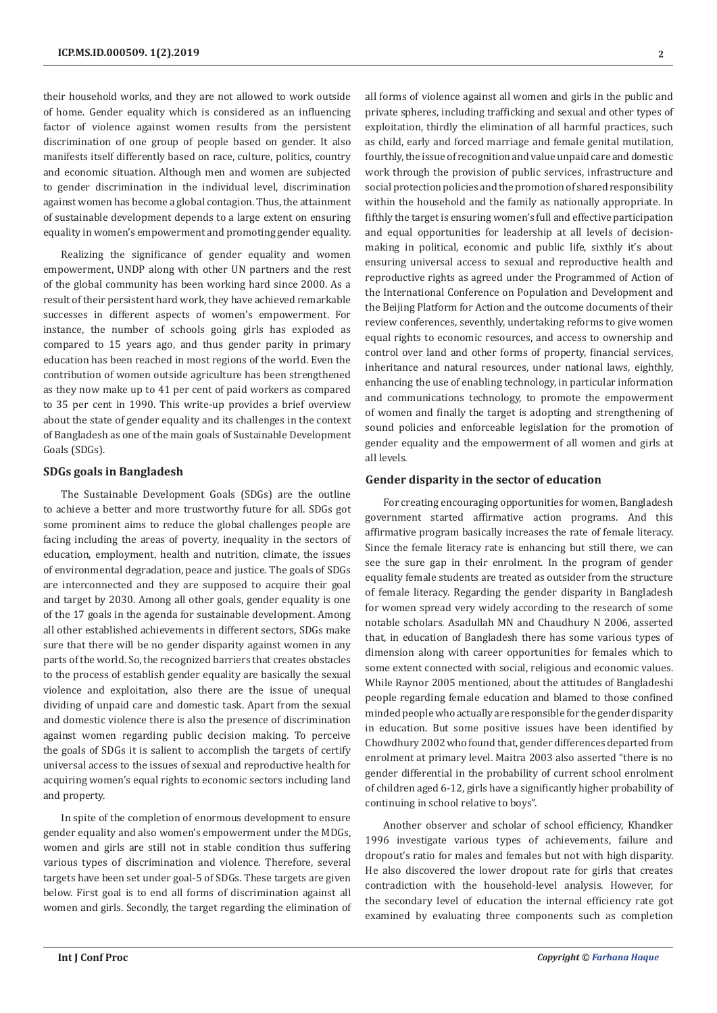their household works, and they are not allowed to work outside of home. Gender equality which is considered as an influencing factor of violence against women results from the persistent discrimination of one group of people based on gender. It also manifests itself differently based on race, culture, politics, country and economic situation. Although men and women are subjected to gender discrimination in the individual level, discrimination against women has become a global contagion. Thus, the attainment of sustainable development depends to a large extent on ensuring equality in women's empowerment and promoting gender equality.

Realizing the significance of gender equality and women empowerment, UNDP along with other UN partners and the rest of the global community has been working hard since 2000. As a result of their persistent hard work, they have achieved remarkable successes in different aspects of women's empowerment. For instance, the number of schools going girls has exploded as compared to 15 years ago, and thus gender parity in primary education has been reached in most regions of the world. Even the contribution of women outside agriculture has been strengthened as they now make up to 41 per cent of paid workers as compared to 35 per cent in 1990. This write-up provides a brief overview about the state of gender equality and its challenges in the context of Bangladesh as one of the main goals of Sustainable Development Goals (SDGs).

#### **SDGs goals in Bangladesh**

The Sustainable Development Goals (SDGs) are the outline to achieve a better and more trustworthy future for all. SDGs got some prominent aims to reduce the global challenges people are facing including the areas of poverty, inequality in the sectors of education, employment, health and nutrition, climate, the issues of environmental degradation, peace and justice. The goals of SDGs are interconnected and they are supposed to acquire their goal and target by 2030. Among all other goals, gender equality is one of the 17 goals in the agenda for sustainable development. Among all other established achievements in different sectors, SDGs make sure that there will be no gender disparity against women in any parts of the world. So, the recognized barriers that creates obstacles to the process of establish gender equality are basically the sexual violence and exploitation, also there are the issue of unequal dividing of unpaid care and domestic task. Apart from the sexual and domestic violence there is also the presence of discrimination against women regarding public decision making. To perceive the goals of SDGs it is salient to accomplish the targets of certify universal access to the issues of sexual and reproductive health for acquiring women's equal rights to economic sectors including land and property.

In spite of the completion of enormous development to ensure gender equality and also women's empowerment under the MDGs, women and girls are still not in stable condition thus suffering various types of discrimination and violence. Therefore, several targets have been set under goal-5 of SDGs. These targets are given below. First goal is to end all forms of discrimination against all women and girls. Secondly, the target regarding the elimination of all forms of violence against all women and girls in the public and private spheres, including trafficking and sexual and other types of exploitation, thirdly the elimination of all harmful practices, such as child, early and forced marriage and female genital mutilation, fourthly, the issue of recognition and value unpaid care and domestic work through the provision of public services, infrastructure and social protection policies and the promotion of shared responsibility within the household and the family as nationally appropriate. In fifthly the target is ensuring women's full and effective participation and equal opportunities for leadership at all levels of decisionmaking in political, economic and public life, sixthly it's about ensuring universal access to sexual and reproductive health and reproductive rights as agreed under the Programmed of Action of the International Conference on Population and Development and the Beijing Platform for Action and the outcome documents of their review conferences, seventhly, undertaking reforms to give women equal rights to economic resources, and access to ownership and control over land and other forms of property, financial services, inheritance and natural resources, under national laws, eighthly, enhancing the use of enabling technology, in particular information and communications technology, to promote the empowerment of women and finally the target is adopting and strengthening of sound policies and enforceable legislation for the promotion of gender equality and the empowerment of all women and girls at all levels.

# **Gender disparity in the sector of education**

For creating encouraging opportunities for women, Bangladesh government started affirmative action programs. And this affirmative program basically increases the rate of female literacy. Since the female literacy rate is enhancing but still there, we can see the sure gap in their enrolment. In the program of gender equality female students are treated as outsider from the structure of female literacy. Regarding the gender disparity in Bangladesh for women spread very widely according to the research of some notable scholars. Asadullah MN and Chaudhury N 2006, asserted that, in education of Bangladesh there has some various types of dimension along with career opportunities for females which to some extent connected with social, religious and economic values. While Raynor 2005 mentioned, about the attitudes of Bangladeshi people regarding female education and blamed to those confined minded people who actually are responsible for the gender disparity in education. But some positive issues have been identified by Chowdhury 2002 who found that, gender differences departed from enrolment at primary level. Maitra 2003 also asserted "there is no gender differential in the probability of current school enrolment of children aged 6-12, girls have a significantly higher probability of continuing in school relative to boys".

Another observer and scholar of school efficiency, Khandker 1996 investigate various types of achievements, failure and dropout's ratio for males and females but not with high disparity. He also discovered the lower dropout rate for girls that creates contradiction with the household-level analysis. However, for the secondary level of education the internal efficiency rate got examined by evaluating three components such as completion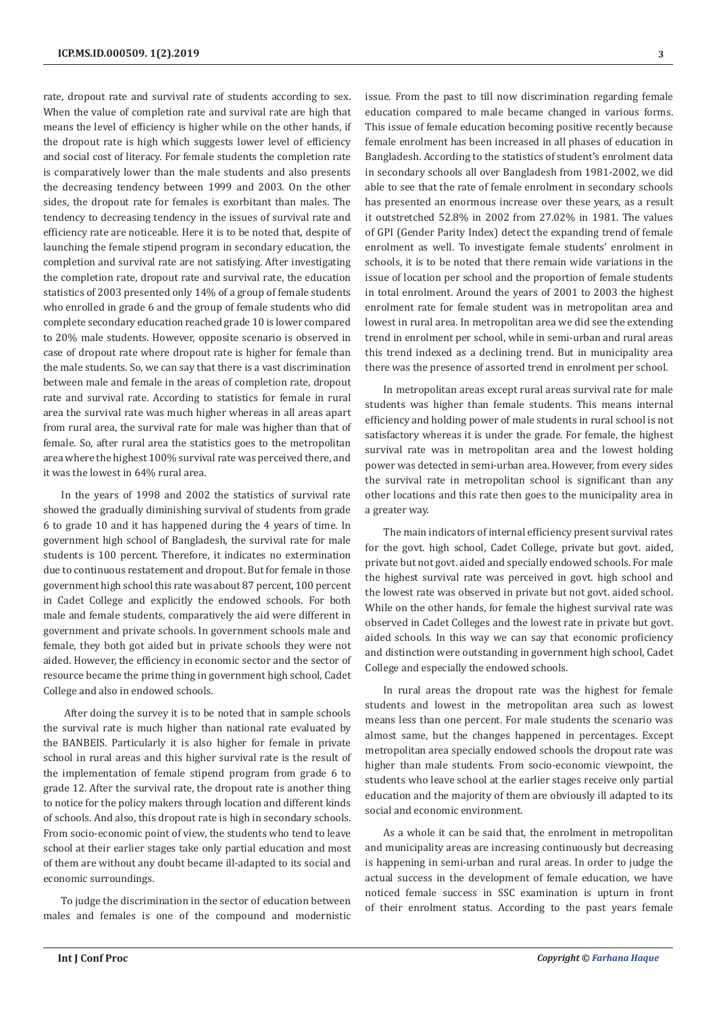rate, dropout rate and survival rate of students according to sex. When the value of completion rate and survival rate are high that means the level of efficiency is higher while on the other hands, if the dropout rate is high which suggests lower level of efficiency and social cost of literacy. For female students the completion rate is comparatively lower than the male students and also presents the decreasing tendency between 1999 and 2003. On the other sides, the dropout rate for females is exorbitant than males. The tendency to decreasing tendency in the issues of survival rate and efficiency rate are noticeable. Here it is to be noted that, despite of launching the female stipend program in secondary education, the completion and survival rate are not satisfying. After investigating the completion rate, dropout rate and survival rate, the education statistics of 2003 presented only 14% of a group of female students who enrolled in grade 6 and the group of female students who did complete secondary education reached grade 10 is lower compared to 20% male students. However, opposite scenario is observed in case of dropout rate where dropout rate is higher for female than the male students. So, we can say that there is a vast discrimination between male and female in the areas of completion rate, dropout rate and survival rate. According to statistics for female in rural area the survival rate was much higher whereas in all areas apart from rural area, the survival rate for male was higher than that of female. So, after rural area the statistics goes to the metropolitan area where the highest 100% survival rate was perceived there, and it was the lowest in 64% rural area.

In the years of 1998 and 2002 the statistics of survival rate showed the gradually diminishing survival of students from grade 6 to grade 10 and it has happened during the 4 years of time. In government high school of Bangladesh, the survival rate for male students is 100 percent. Therefore, it indicates no extermination due to continuous restatement and dropout. But for female in those government high school this rate was about 87 percent, 100 percent in Cadet College and explicitly the endowed schools. For both male and female students, comparatively the aid were different in government and private schools. In government schools male and female, they both got aided but in private schools they were not aided. However, the efficiency in economic sector and the sector of resource became the prime thing in government high school, Cadet College and also in endowed schools.

 After doing the survey it is to be noted that in sample schools the survival rate is much higher than national rate evaluated by the BANBEIS. Particularly it is also higher for female in private school in rural areas and this higher survival rate is the result of the implementation of female stipend program from grade 6 to grade 12. After the survival rate, the dropout rate is another thing to notice for the policy makers through location and different kinds of schools. And also, this dropout rate is high in secondary schools. From socio-economic point of view, the students who tend to leave school at their earlier stages take only partial education and most of them are without any doubt became ill-adapted to its social and economic surroundings.

To judge the discrimination in the sector of education between males and females is one of the compound and modernistic issue. From the past to till now discrimination regarding female education compared to male became changed in various forms. This issue of female education becoming positive recently because female enrolment has been increased in all phases of education in Bangladesh. According to the statistics of student's enrolment data in secondary schools all over Bangladesh from 1981-2002, we did able to see that the rate of female enrolment in secondary schools has presented an enormous increase over these years, as a result it outstretched 52.8% in 2002 from 27.02% in 1981. The values of GPI (Gender Parity Index) detect the expanding trend of female enrolment as well. To investigate female students' enrolment in schools, it is to be noted that there remain wide variations in the issue of location per school and the proportion of female students in total enrolment. Around the years of 2001 to 2003 the highest enrolment rate for female student was in metropolitan area and lowest in rural area. In metropolitan area we did see the extending trend in enrolment per school, while in semi-urban and rural areas this trend indexed as a declining trend. But in municipality area there was the presence of assorted trend in enrolment per school.

In metropolitan areas except rural areas survival rate for male students was higher than female students. This means internal efficiency and holding power of male students in rural school is not satisfactory whereas it is under the grade. For female, the highest survival rate was in metropolitan area and the lowest holding power was detected in semi-urban area. However, from every sides the survival rate in metropolitan school is significant than any other locations and this rate then goes to the municipality area in a greater way.

The main indicators of internal efficiency present survival rates for the govt. high school, Cadet College, private but govt. aided, private but not govt. aided and specially endowed schools. For male the highest survival rate was perceived in govt. high school and the lowest rate was observed in private but not govt. aided school. While on the other hands, for female the highest survival rate was observed in Cadet Colleges and the lowest rate in private but govt. aided schools. In this way we can say that economic proficiency and distinction were outstanding in government high school, Cadet College and especially the endowed schools.

In rural areas the dropout rate was the highest for female students and lowest in the metropolitan area such as lowest means less than one percent. For male students the scenario was almost same, but the changes happened in percentages. Except metropolitan area specially endowed schools the dropout rate was higher than male students. From socio-economic viewpoint, the students who leave school at the earlier stages receive only partial education and the majority of them are obviously ill adapted to its social and economic environment.

As a whole it can be said that, the enrolment in metropolitan and municipality areas are increasing continuously but decreasing is happening in semi-urban and rural areas. In order to judge the actual success in the development of female education, we have noticed female success in SSC examination is upturn in front of their enrolment status. According to the past years female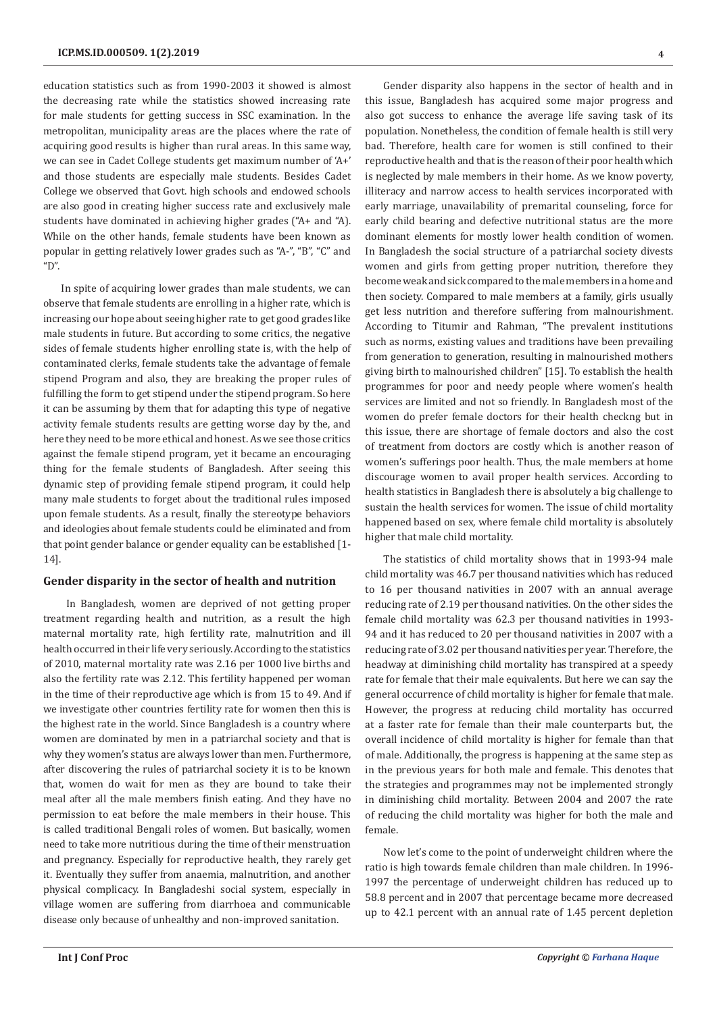education statistics such as from 1990-2003 it showed is almost the decreasing rate while the statistics showed increasing rate for male students for getting success in SSC examination. In the metropolitan, municipality areas are the places where the rate of acquiring good results is higher than rural areas. In this same way, we can see in Cadet College students get maximum number of 'A+' and those students are especially male students. Besides Cadet College we observed that Govt. high schools and endowed schools are also good in creating higher success rate and exclusively male students have dominated in achieving higher grades ("A+ and "A). While on the other hands, female students have been known as popular in getting relatively lower grades such as "A-", "B", "C" and "D".

In spite of acquiring lower grades than male students, we can observe that female students are enrolling in a higher rate, which is increasing our hope about seeing higher rate to get good grades like male students in future. But according to some critics, the negative sides of female students higher enrolling state is, with the help of contaminated clerks, female students take the advantage of female stipend Program and also, they are breaking the proper rules of fulfilling the form to get stipend under the stipend program. So here it can be assuming by them that for adapting this type of negative activity female students results are getting worse day by the, and here they need to be more ethical and honest. As we see those critics against the female stipend program, yet it became an encouraging thing for the female students of Bangladesh. After seeing this dynamic step of providing female stipend program, it could help many male students to forget about the traditional rules imposed upon female students. As a result, finally the stereotype behaviors and ideologies about female students could be eliminated and from that point gender balance or gender equality can be established [1- 14].

## **Gender disparity in the sector of health and nutrition**

 In Bangladesh, women are deprived of not getting proper treatment regarding health and nutrition, as a result the high maternal mortality rate, high fertility rate, malnutrition and ill health occurred in their life very seriously. According to the statistics of 2010, maternal mortality rate was 2.16 per 1000 live births and also the fertility rate was 2.12. This fertility happened per woman in the time of their reproductive age which is from 15 to 49. And if we investigate other countries fertility rate for women then this is the highest rate in the world. Since Bangladesh is a country where women are dominated by men in a patriarchal society and that is why they women's status are always lower than men. Furthermore, after discovering the rules of patriarchal society it is to be known that, women do wait for men as they are bound to take their meal after all the male members finish eating. And they have no permission to eat before the male members in their house. This is called traditional Bengali roles of women. But basically, women need to take more nutritious during the time of their menstruation and pregnancy. Especially for reproductive health, they rarely get it. Eventually they suffer from anaemia, malnutrition, and another physical complicacy. In Bangladeshi social system, especially in village women are suffering from diarrhoea and communicable disease only because of unhealthy and non-improved sanitation.

Gender disparity also happens in the sector of health and in this issue, Bangladesh has acquired some major progress and also got success to enhance the average life saving task of its population. Nonetheless, the condition of female health is still very bad. Therefore, health care for women is still confined to their reproductive health and that is the reason of their poor health which is neglected by male members in their home. As we know poverty, illiteracy and narrow access to health services incorporated with early marriage, unavailability of premarital counseling, force for early child bearing and defective nutritional status are the more dominant elements for mostly lower health condition of women. In Bangladesh the social structure of a patriarchal society divests women and girls from getting proper nutrition, therefore they become weak and sick compared to the male members in a home and then society. Compared to male members at a family, girls usually get less nutrition and therefore suffering from malnourishment. According to Titumir and Rahman, "The prevalent institutions such as norms, existing values and traditions have been prevailing from generation to generation, resulting in malnourished mothers giving birth to malnourished children" [15]. To establish the health programmes for poor and needy people where women's health services are limited and not so friendly. In Bangladesh most of the women do prefer female doctors for their health checkng but in this issue, there are shortage of female doctors and also the cost of treatment from doctors are costly which is another reason of women's sufferings poor health. Thus, the male members at home discourage women to avail proper health services. According to health statistics in Bangladesh there is absolutely a big challenge to sustain the health services for women. The issue of child mortality happened based on sex, where female child mortality is absolutely higher that male child mortality.

The statistics of child mortality shows that in 1993-94 male child mortality was 46.7 per thousand nativities which has reduced to 16 per thousand nativities in 2007 with an annual average reducing rate of 2.19 per thousand nativities. On the other sides the female child mortality was 62.3 per thousand nativities in 1993- 94 and it has reduced to 20 per thousand nativities in 2007 with a reducing rate of 3.02 per thousand nativities per year. Therefore, the headway at diminishing child mortality has transpired at a speedy rate for female that their male equivalents. But here we can say the general occurrence of child mortality is higher for female that male. However, the progress at reducing child mortality has occurred at a faster rate for female than their male counterparts but, the overall incidence of child mortality is higher for female than that of male. Additionally, the progress is happening at the same step as in the previous years for both male and female. This denotes that the strategies and programmes may not be implemented strongly in diminishing child mortality. Between 2004 and 2007 the rate of reducing the child mortality was higher for both the male and female.

Now let's come to the point of underweight children where the ratio is high towards female children than male children. In 1996- 1997 the percentage of underweight children has reduced up to 58.8 percent and in 2007 that percentage became more decreased up to 42.1 percent with an annual rate of 1.45 percent depletion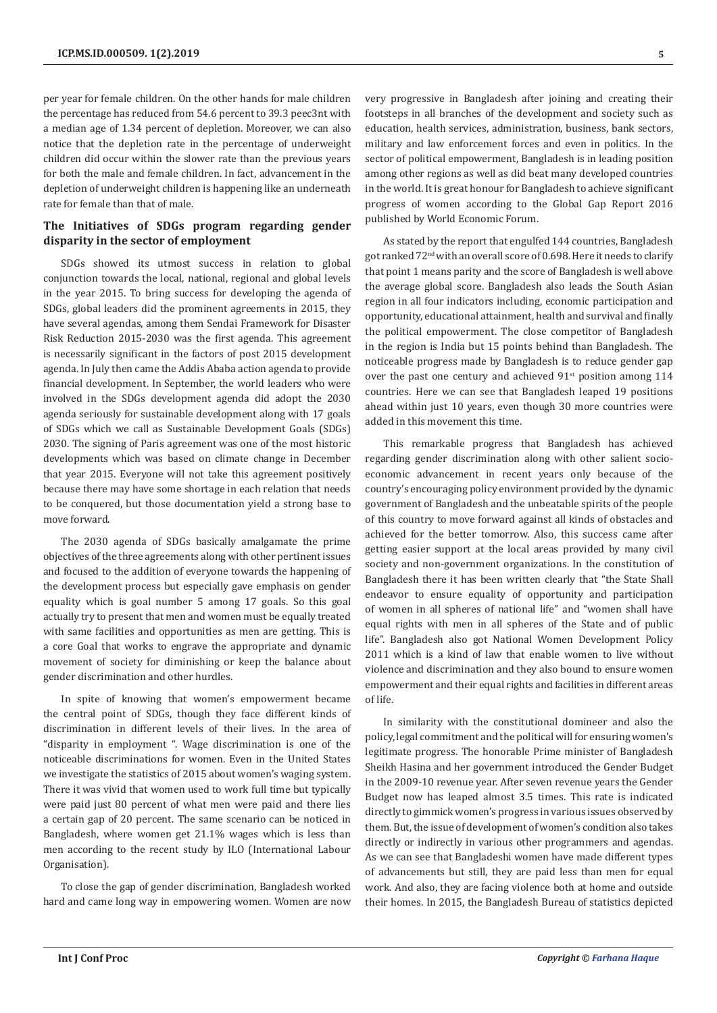per year for female children. On the other hands for male children the percentage has reduced from 54.6 percent to 39.3 peec3nt with a median age of 1.34 percent of depletion. Moreover, we can also notice that the depletion rate in the percentage of underweight children did occur within the slower rate than the previous years for both the male and female children. In fact, advancement in the depletion of underweight children is happening like an underneath rate for female than that of male.

# **The Initiatives of SDGs program regarding gender disparity in the sector of employment**

SDGs showed its utmost success in relation to global conjunction towards the local, national, regional and global levels in the year 2015. To bring success for developing the agenda of SDGs, global leaders did the prominent agreements in 2015, they have several agendas, among them Sendai Framework for Disaster Risk Reduction 2015-2030 was the first agenda. This agreement is necessarily significant in the factors of post 2015 development agenda. In July then came the Addis Ababa action agenda to provide financial development. In September, the world leaders who were involved in the SDGs development agenda did adopt the 2030 agenda seriously for sustainable development along with 17 goals of SDGs which we call as Sustainable Development Goals (SDGs) 2030. The signing of Paris agreement was one of the most historic developments which was based on climate change in December that year 2015. Everyone will not take this agreement positively because there may have some shortage in each relation that needs to be conquered, but those documentation yield a strong base to move forward.

The 2030 agenda of SDGs basically amalgamate the prime objectives of the three agreements along with other pertinent issues and focused to the addition of everyone towards the happening of the development process but especially gave emphasis on gender equality which is goal number 5 among 17 goals. So this goal actually try to present that men and women must be equally treated with same facilities and opportunities as men are getting. This is a core Goal that works to engrave the appropriate and dynamic movement of society for diminishing or keep the balance about gender discrimination and other hurdles.

In spite of knowing that women's empowerment became the central point of SDGs, though they face different kinds of discrimination in different levels of their lives. In the area of "disparity in employment ". Wage discrimination is one of the noticeable discriminations for women. Even in the United States we investigate the statistics of 2015 about women's waging system. There it was vivid that women used to work full time but typically were paid just 80 percent of what men were paid and there lies a certain gap of 20 percent. The same scenario can be noticed in Bangladesh, where women get 21.1% wages which is less than men according to the recent study by ILO (International Labour Organisation).

To close the gap of gender discrimination, Bangladesh worked hard and came long way in empowering women. Women are now very progressive in Bangladesh after joining and creating their footsteps in all branches of the development and society such as education, health services, administration, business, bank sectors, military and law enforcement forces and even in politics. In the sector of political empowerment, Bangladesh is in leading position among other regions as well as did beat many developed countries in the world. It is great honour for Bangladesh to achieve significant progress of women according to the Global Gap Report 2016 published by World Economic Forum.

As stated by the report that engulfed 144 countries, Bangladesh got ranked 72nd with an overall score of 0.698. Here it needs to clarify that point 1 means parity and the score of Bangladesh is well above the average global score. Bangladesh also leads the South Asian region in all four indicators including, economic participation and opportunity, educational attainment, health and survival and finally the political empowerment. The close competitor of Bangladesh in the region is India but 15 points behind than Bangladesh. The noticeable progress made by Bangladesh is to reduce gender gap over the past one century and achieved  $91<sup>st</sup>$  position among 114 countries. Here we can see that Bangladesh leaped 19 positions ahead within just 10 years, even though 30 more countries were added in this movement this time.

This remarkable progress that Bangladesh has achieved regarding gender discrimination along with other salient socioeconomic advancement in recent years only because of the country's encouraging policy environment provided by the dynamic government of Bangladesh and the unbeatable spirits of the people of this country to move forward against all kinds of obstacles and achieved for the better tomorrow. Also, this success came after getting easier support at the local areas provided by many civil society and non-government organizations. In the constitution of Bangladesh there it has been written clearly that "the State Shall endeavor to ensure equality of opportunity and participation of women in all spheres of national life" and "women shall have equal rights with men in all spheres of the State and of public life". Bangladesh also got National Women Development Policy 2011 which is a kind of law that enable women to live without violence and discrimination and they also bound to ensure women empowerment and their equal rights and facilities in different areas of life.

In similarity with the constitutional domineer and also the policy, legal commitment and the political will for ensuring women's legitimate progress. The honorable Prime minister of Bangladesh Sheikh Hasina and her government introduced the Gender Budget in the 2009-10 revenue year. After seven revenue years the Gender Budget now has leaped almost 3.5 times. This rate is indicated directly to gimmick women's progress in various issues observed by them. But, the issue of development of women's condition also takes directly or indirectly in various other programmers and agendas. As we can see that Bangladeshi women have made different types of advancements but still, they are paid less than men for equal work. And also, they are facing violence both at home and outside their homes. In 2015, the Bangladesh Bureau of statistics depicted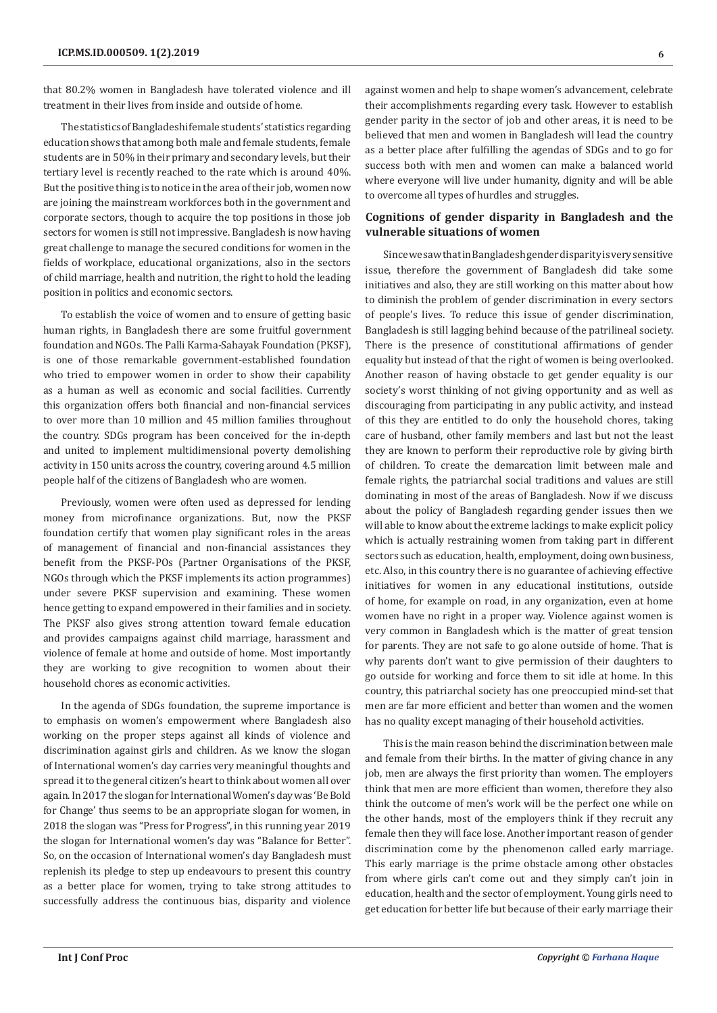that 80.2% women in Bangladesh have tolerated violence and ill treatment in their lives from inside and outside of home.

The statistics of Bangladeshi female students' statistics regarding education shows that among both male and female students, female students are in 50% in their primary and secondary levels, but their tertiary level is recently reached to the rate which is around 40%. But the positive thing is to notice in the area of their job, women now are joining the mainstream workforces both in the government and corporate sectors, though to acquire the top positions in those job sectors for women is still not impressive. Bangladesh is now having great challenge to manage the secured conditions for women in the fields of workplace, educational organizations, also in the sectors of child marriage, health and nutrition, the right to hold the leading position in politics and economic sectors.

To establish the voice of women and to ensure of getting basic human rights, in Bangladesh there are some fruitful government foundation and NGOs. The Palli Karma-Sahayak Foundation (PKSF), is one of those remarkable government-established foundation who tried to empower women in order to show their capability as a human as well as economic and social facilities. Currently this organization offers both financial and non-financial services to over more than 10 million and 45 million families throughout the country. SDGs program has been conceived for the in-depth and united to implement multidimensional poverty demolishing activity in 150 units across the country, covering around 4.5 million people half of the citizens of Bangladesh who are women.

Previously, women were often used as depressed for lending money from microfinance organizations. But, now the PKSF foundation certify that women play significant roles in the areas of management of financial and non-financial assistances they benefit from the PKSF-POs (Partner Organisations of the PKSF, NGOs through which the PKSF implements its action programmes) under severe PKSF supervision and examining. These women hence getting to expand empowered in their families and in society. The PKSF also gives strong attention toward female education and provides campaigns against child marriage, harassment and violence of female at home and outside of home. Most importantly they are working to give recognition to women about their household chores as economic activities.

In the agenda of SDGs foundation, the supreme importance is to emphasis on women's empowerment where Bangladesh also working on the proper steps against all kinds of violence and discrimination against girls and children. As we know the slogan of International women's day carries very meaningful thoughts and spread it to the general citizen's heart to think about women all over again. In 2017 the slogan for International Women's day was 'Be Bold for Change' thus seems to be an appropriate slogan for women, in 2018 the slogan was "Press for Progress", in this running year 2019 the slogan for International women's day was "Balance for Better". So, on the occasion of International women's day Bangladesh must replenish its pledge to step up endeavours to present this country as a better place for women, trying to take strong attitudes to successfully address the continuous bias, disparity and violence

against women and help to shape women's advancement, celebrate their accomplishments regarding every task. However to establish gender parity in the sector of job and other areas, it is need to be believed that men and women in Bangladesh will lead the country as a better place after fulfilling the agendas of SDGs and to go for success both with men and women can make a balanced world where everyone will live under humanity, dignity and will be able to overcome all types of hurdles and struggles.

# **Cognitions of gender disparity in Bangladesh and the vulnerable situations of women**

Since we saw that in Bangladesh gender disparity is very sensitive issue, therefore the government of Bangladesh did take some initiatives and also, they are still working on this matter about how to diminish the problem of gender discrimination in every sectors of people's lives. To reduce this issue of gender discrimination, Bangladesh is still lagging behind because of the patrilineal society. There is the presence of constitutional affirmations of gender equality but instead of that the right of women is being overlooked. Another reason of having obstacle to get gender equality is our society's worst thinking of not giving opportunity and as well as discouraging from participating in any public activity, and instead of this they are entitled to do only the household chores, taking care of husband, other family members and last but not the least they are known to perform their reproductive role by giving birth of children. To create the demarcation limit between male and female rights, the patriarchal social traditions and values are still dominating in most of the areas of Bangladesh. Now if we discuss about the policy of Bangladesh regarding gender issues then we will able to know about the extreme lackings to make explicit policy which is actually restraining women from taking part in different sectors such as education, health, employment, doing own business, etc. Also, in this country there is no guarantee of achieving effective initiatives for women in any educational institutions, outside of home, for example on road, in any organization, even at home women have no right in a proper way. Violence against women is very common in Bangladesh which is the matter of great tension for parents. They are not safe to go alone outside of home. That is why parents don't want to give permission of their daughters to go outside for working and force them to sit idle at home. In this country, this patriarchal society has one preoccupied mind-set that men are far more efficient and better than women and the women has no quality except managing of their household activities.

This is the main reason behind the discrimination between male and female from their births. In the matter of giving chance in any job, men are always the first priority than women. The employers think that men are more efficient than women, therefore they also think the outcome of men's work will be the perfect one while on the other hands, most of the employers think if they recruit any female then they will face lose. Another important reason of gender discrimination come by the phenomenon called early marriage. This early marriage is the prime obstacle among other obstacles from where girls can't come out and they simply can't join in education, health and the sector of employment. Young girls need to get education for better life but because of their early marriage their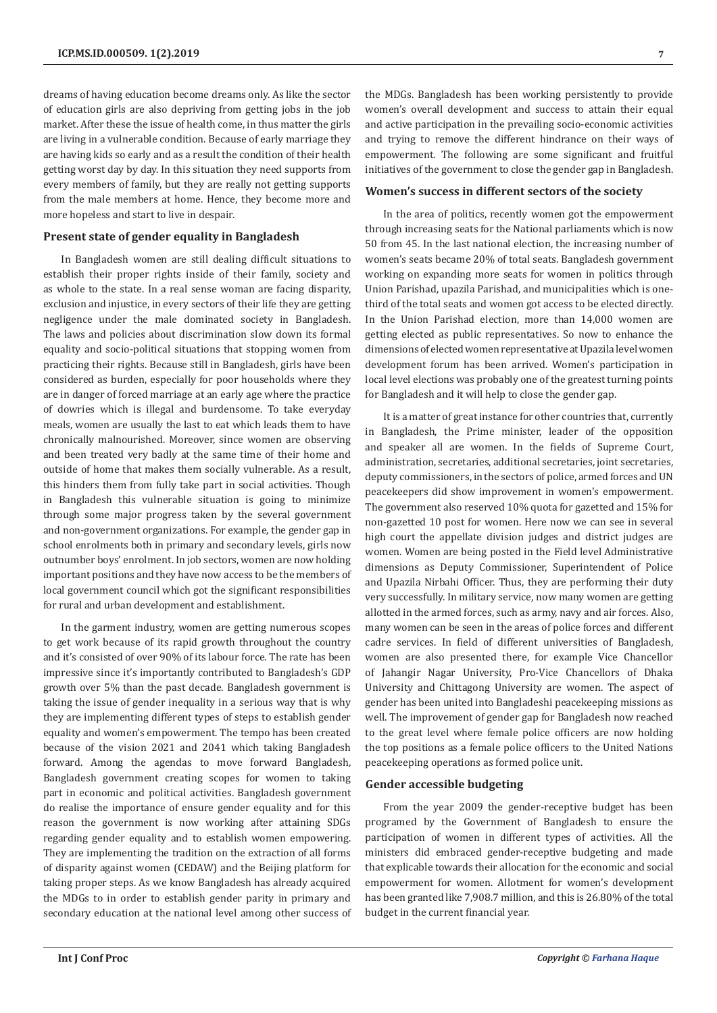dreams of having education become dreams only. As like the sector of education girls are also depriving from getting jobs in the job market. After these the issue of health come, in thus matter the girls are living in a vulnerable condition. Because of early marriage they are having kids so early and as a result the condition of their health getting worst day by day. In this situation they need supports from every members of family, but they are really not getting supports from the male members at home. Hence, they become more and more hopeless and start to live in despair.

# **Present state of gender equality in Bangladesh**

In Bangladesh women are still dealing difficult situations to establish their proper rights inside of their family, society and as whole to the state. In a real sense woman are facing disparity, exclusion and injustice, in every sectors of their life they are getting negligence under the male dominated society in Bangladesh. The laws and policies about discrimination slow down its formal equality and socio-political situations that stopping women from practicing their rights. Because still in Bangladesh, girls have been considered as burden, especially for poor households where they are in danger of forced marriage at an early age where the practice of dowries which is illegal and burdensome. To take everyday meals, women are usually the last to eat which leads them to have chronically malnourished. Moreover, since women are observing and been treated very badly at the same time of their home and outside of home that makes them socially vulnerable. As a result, this hinders them from fully take part in social activities. Though in Bangladesh this vulnerable situation is going to minimize through some major progress taken by the several government and non-government organizations. For example, the gender gap in school enrolments both in primary and secondary levels, girls now outnumber boys' enrolment. In job sectors, women are now holding important positions and they have now access to be the members of local government council which got the significant responsibilities for rural and urban development and establishment.

In the garment industry, women are getting numerous scopes to get work because of its rapid growth throughout the country and it's consisted of over 90% of its labour force. The rate has been impressive since it's importantly contributed to Bangladesh's GDP growth over 5% than the past decade. Bangladesh government is taking the issue of gender inequality in a serious way that is why they are implementing different types of steps to establish gender equality and women's empowerment. The tempo has been created because of the vision 2021 and 2041 which taking Bangladesh forward. Among the agendas to move forward Bangladesh, Bangladesh government creating scopes for women to taking part in economic and political activities. Bangladesh government do realise the importance of ensure gender equality and for this reason the government is now working after attaining SDGs regarding gender equality and to establish women empowering. They are implementing the tradition on the extraction of all forms of disparity against women (CEDAW) and the Beijing platform for taking proper steps. As we know Bangladesh has already acquired the MDGs to in order to establish gender parity in primary and secondary education at the national level among other success of the MDGs. Bangladesh has been working persistently to provide women's overall development and success to attain their equal and active participation in the prevailing socio-economic activities and trying to remove the different hindrance on their ways of empowerment. The following are some significant and fruitful initiatives of the government to close the gender gap in Bangladesh.

#### **Women's success in different sectors of the society**

In the area of politics, recently women got the empowerment through increasing seats for the National parliaments which is now 50 from 45. In the last national election, the increasing number of women's seats became 20% of total seats. Bangladesh government working on expanding more seats for women in politics through Union Parishad, upazila Parishad, and municipalities which is onethird of the total seats and women got access to be elected directly. In the Union Parishad election, more than 14,000 women are getting elected as public representatives. So now to enhance the dimensions of elected women representative at Upazila level women development forum has been arrived. Women's participation in local level elections was probably one of the greatest turning points for Bangladesh and it will help to close the gender gap.

It is a matter of great instance for other countries that, currently in Bangladesh, the Prime minister, leader of the opposition and speaker all are women. In the fields of Supreme Court, administration, secretaries, additional secretaries, joint secretaries, deputy commissioners, in the sectors of police, armed forces and UN peacekeepers did show improvement in women's empowerment. The government also reserved 10% quota for gazetted and 15% for non-gazetted 10 post for women. Here now we can see in several high court the appellate division judges and district judges are women. Women are being posted in the Field level Administrative dimensions as Deputy Commissioner, Superintendent of Police and Upazila Nirbahi Officer. Thus, they are performing their duty very successfully. In military service, now many women are getting allotted in the armed forces, such as army, navy and air forces. Also, many women can be seen in the areas of police forces and different cadre services. In field of different universities of Bangladesh, women are also presented there, for example Vice Chancellor of Jahangir Nagar University, Pro-Vice Chancellors of Dhaka University and Chittagong University are women. The aspect of gender has been united into Bangladeshi peacekeeping missions as well. The improvement of gender gap for Bangladesh now reached to the great level where female police officers are now holding the top positions as a female police officers to the United Nations peacekeeping operations as formed police unit.

## **Gender accessible budgeting**

From the year 2009 the gender-receptive budget has been programed by the Government of Bangladesh to ensure the participation of women in different types of activities. All the ministers did embraced gender-receptive budgeting and made that explicable towards their allocation for the economic and social empowerment for women. Allotment for women's development has been granted like 7,908.7 million, and this is 26.80% of the total budget in the current financial year.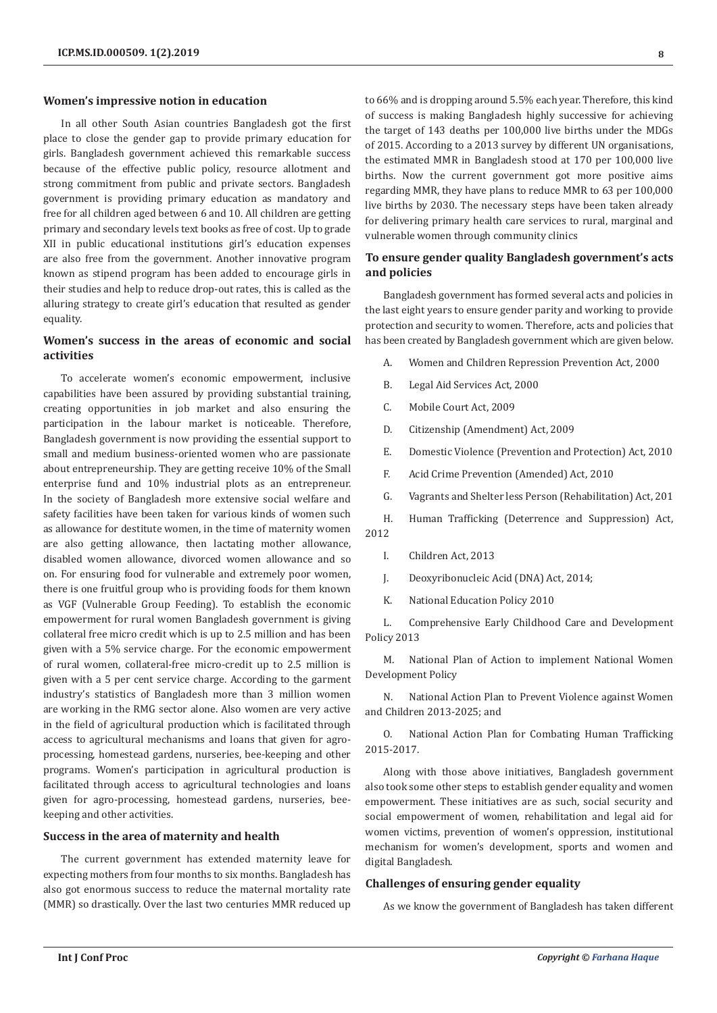#### **Women's impressive notion in education**

In all other South Asian countries Bangladesh got the first place to close the gender gap to provide primary education for girls. Bangladesh government achieved this remarkable success because of the effective public policy, resource allotment and strong commitment from public and private sectors. Bangladesh government is providing primary education as mandatory and free for all children aged between 6 and 10. All children are getting primary and secondary levels text books as free of cost. Up to grade XII in public educational institutions girl's education expenses are also free from the government. Another innovative program known as stipend program has been added to encourage girls in their studies and help to reduce drop-out rates, this is called as the alluring strategy to create girl's education that resulted as gender equality.

# **Women's success in the areas of economic and social activities**

To accelerate women's economic empowerment, inclusive capabilities have been assured by providing substantial training, creating opportunities in job market and also ensuring the participation in the labour market is noticeable. Therefore, Bangladesh government is now providing the essential support to small and medium business-oriented women who are passionate about entrepreneurship. They are getting receive 10% of the Small enterprise fund and 10% industrial plots as an entrepreneur. In the society of Bangladesh more extensive social welfare and safety facilities have been taken for various kinds of women such as allowance for destitute women, in the time of maternity women are also getting allowance, then lactating mother allowance, disabled women allowance, divorced women allowance and so on. For ensuring food for vulnerable and extremely poor women, there is one fruitful group who is providing foods for them known as VGF (Vulnerable Group Feeding). To establish the economic empowerment for rural women Bangladesh government is giving collateral free micro credit which is up to 2.5 million and has been given with a 5% service charge. For the economic empowerment of rural women, collateral-free micro-credit up to 2.5 million is given with a 5 per cent service charge. According to the garment industry's statistics of Bangladesh more than 3 million women are working in the RMG sector alone. Also women are very active in the field of agricultural production which is facilitated through access to agricultural mechanisms and loans that given for agroprocessing, homestead gardens, nurseries, bee-keeping and other programs. Women's participation in agricultural production is facilitated through access to agricultural technologies and loans given for agro-processing, homestead gardens, nurseries, beekeeping and other activities.

#### **Success in the area of maternity and health**

The current government has extended maternity leave for expecting mothers from four months to six months. Bangladesh has also got enormous success to reduce the maternal mortality rate (MMR) so drastically. Over the last two centuries MMR reduced up

to 66% and is dropping around 5.5% each year. Therefore, this kind of success is making Bangladesh highly successive for achieving the target of 143 deaths per 100,000 live births under the MDGs of 2015. According to a 2013 survey by different UN organisations, the estimated MMR in Bangladesh stood at 170 per 100,000 live births. Now the current government got more positive aims regarding MMR, they have plans to reduce MMR to 63 per 100,000 live births by 2030. The necessary steps have been taken already for delivering primary health care services to rural, marginal and vulnerable women through community clinics

# **To ensure gender quality Bangladesh government's acts and policies**

Bangladesh government has formed several acts and policies in the last eight years to ensure gender parity and working to provide protection and security to women. Therefore, acts and policies that has been created by Bangladesh government which are given below.

- A. Women and Children Repression Prevention Act, 2000
- B. Legal Aid Services Act, 2000
- C. Mobile Court Act, 2009
- D. Citizenship (Amendment) Act, 2009
- E. Domestic Violence (Prevention and Protection) Act, 2010
- F. Acid Crime Prevention (Amended) Act, 2010
- G. Vagrants and Shelter less Person (Rehabilitation) Act, 201

H. Human Trafficking (Deterrence and Suppression) Act, 2012

- I. Children Act, 2013
- J. Deoxyribonucleic Acid (DNA) Act, 2014;
- K. National Education Policy 2010

L. Comprehensive Early Childhood Care and Development Policy 2013

M. National Plan of Action to implement National Women Development Policy

N. National Action Plan to Prevent Violence against Women and Children 2013-2025; and

O. National Action Plan for Combating Human Trafficking 2015-2017.

Along with those above initiatives, Bangladesh government also took some other steps to establish gender equality and women empowerment. These initiatives are as such, social security and social empowerment of women, rehabilitation and legal aid for women victims, prevention of women's oppression, institutional mechanism for women's development, sports and women and digital Bangladesh.

#### **Challenges of ensuring gender equality**

As we know the government of Bangladesh has taken different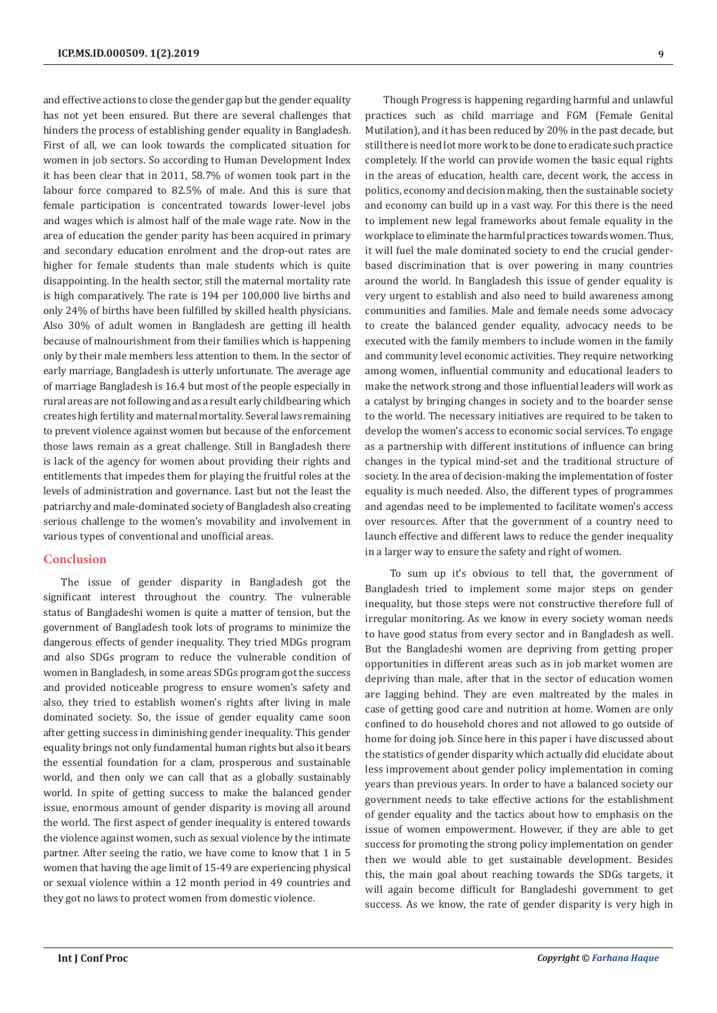and effective actions to close the gender gap but the gender equality has not yet been ensured. But there are several challenges that hinders the process of establishing gender equality in Bangladesh. First of all, we can look towards the complicated situation for women in job sectors. So according to Human Development Index it has been clear that in 2011, 58.7% of women took part in the labour force compared to 82.5% of male. And this is sure that female participation is concentrated towards lower-level jobs and wages which is almost half of the male wage rate. Now in the area of education the gender parity has been acquired in primary and secondary education enrolment and the drop-out rates are higher for female students than male students which is quite disappointing. In the health sector, still the maternal mortality rate is high comparatively. The rate is 194 per 100,000 live births and only 24% of births have been fulfilled by skilled health physicians. Also 30% of adult women in Bangladesh are getting ill health because of malnourishment from their families which is happening only by their male members less attention to them. In the sector of early marriage, Bangladesh is utterly unfortunate. The average age of marriage Bangladesh is 16.4 but most of the people especially in rural areas are not following and as a result early childbearing which creates high fertility and maternal mortality. Several laws remaining to prevent violence against women but because of the enforcement those laws remain as a great challenge. Still in Bangladesh there is lack of the agency for women about providing their rights and entitlements that impedes them for playing the fruitful roles at the levels of administration and governance. Last but not the least the patriarchy and male-dominated society of Bangladesh also creating serious challenge to the women's movability and involvement in various types of conventional and unofficial areas.

#### **Conclusion**

The issue of gender disparity in Bangladesh got the significant interest throughout the country. The vulnerable status of Bangladeshi women is quite a matter of tension, but the government of Bangladesh took lots of programs to minimize the dangerous effects of gender inequality. They tried MDGs program and also SDGs program to reduce the vulnerable condition of women in Bangladesh, in some areas SDGs program got the success and provided noticeable progress to ensure women's safety and also, they tried to establish women's rights after living in male dominated society. So, the issue of gender equality came soon after getting success in diminishing gender inequality. This gender equality brings not only fundamental human rights but also it bears the essential foundation for a clam, prosperous and sustainable world, and then only we can call that as a globally sustainably world. In spite of getting success to make the balanced gender issue, enormous amount of gender disparity is moving all around the world. The first aspect of gender inequality is entered towards the violence against women, such as sexual violence by the intimate partner. After seeing the ratio, we have come to know that 1 in 5 women that having the age limit of 15-49 are experiencing physical or sexual violence within a 12 month period in 49 countries and they got no laws to protect women from domestic violence.

Though Progress is happening regarding harmful and unlawful practices such as child marriage and FGM (Female Genital Mutilation), and it has been reduced by 20% in the past decade, but still there is need lot more work to be done to eradicate such practice completely. If the world can provide women the basic equal rights in the areas of education, health care, decent work, the access in politics, economy and decision making, then the sustainable society and economy can build up in a vast way. For this there is the need to implement new legal frameworks about female equality in the workplace to eliminate the harmful practices towards women. Thus, it will fuel the male dominated society to end the crucial genderbased discrimination that is over powering in many countries around the world. In Bangladesh this issue of gender equality is very urgent to establish and also need to build awareness among communities and families. Male and female needs some advocacy to create the balanced gender equality, advocacy needs to be executed with the family members to include women in the family and community level economic activities. They require networking among women, influential community and educational leaders to make the network strong and those influential leaders will work as a catalyst by bringing changes in society and to the boarder sense to the world. The necessary initiatives are required to be taken to develop the women's access to economic social services. To engage as a partnership with different institutions of influence can bring changes in the typical mind-set and the traditional structure of society. In the area of decision-making the implementation of foster equality is much needed. Also, the different types of programmes and agendas need to be implemented to facilitate women's access over resources. After that the government of a country need to launch effective and different laws to reduce the gender inequality in a larger way to ensure the safety and right of women.

 To sum up it's obvious to tell that, the government of Bangladesh tried to implement some major steps on gender inequality, but those steps were not constructive therefore full of irregular monitoring. As we know in every society woman needs to have good status from every sector and in Bangladesh as well. But the Bangladeshi women are depriving from getting proper opportunities in different areas such as in job market women are depriving than male, after that in the sector of education women are lagging behind. They are even maltreated by the males in case of getting good care and nutrition at home. Women are only confined to do household chores and not allowed to go outside of home for doing job. Since here in this paper i have discussed about the statistics of gender disparity which actually did elucidate about less improvement about gender policy implementation in coming years than previous years. In order to have a balanced society our government needs to take effective actions for the establishment of gender equality and the tactics about how to emphasis on the issue of women empowerment. However, if they are able to get success for promoting the strong policy implementation on gender then we would able to get sustainable development. Besides this, the main goal about reaching towards the SDGs targets, it will again become difficult for Bangladeshi government to get success. As we know, the rate of gender disparity is very high in